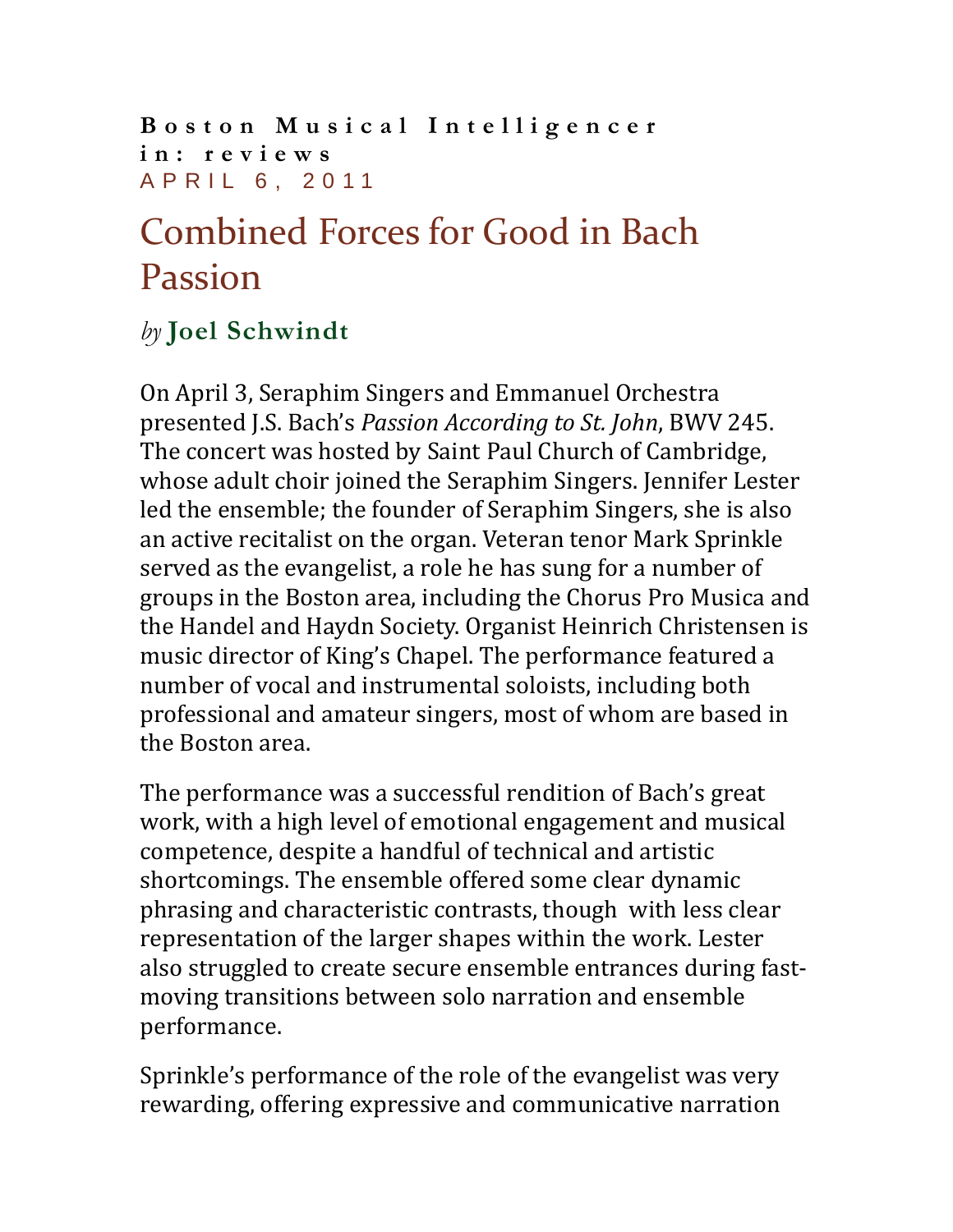**Boston Musical Intelligencer in: [reviews](http://www.classical-scene.com/topics/reviews/)** APRIL 6, 2011

## Combined Forces for Good in Bach Passion

## *by* **[Joel Schwindt](http://www.classical-scene.com/author/joel-schwindt/)**

On April 3, Seraphim Singers and Emmanuel Orchestra presented J.S. Bach's *Passion According to St. John*, BWV 245. The concert was hosted by Saint Paul Church of Cambridge, whose adult choir joined the Seraphim Singers. Jennifer Lester led the ensemble; the founder of Seraphim Singers, she is also an active recitalist on the organ. Veteran tenor Mark Sprinkle served as the evangelist, a role he has sung for a number of groups in the Boston area, including the Chorus Pro Musica and the Handel and Haydn Society. Organist Heinrich Christensen is music director of King's Chapel. The performance featured a number of vocal and instrumental soloists, including both professional and amateur singers, most of whom are based in the Boston area.

The performance was a successful rendition of Bach's great work, with a high level of emotional engagement and musical competence, despite a handful of technical and artistic shortcomings. The ensemble offered some clear dynamic phrasing and characteristic contrasts, though with less clear representation of the larger shapes within the work. Lester also struggled to create secure ensemble entrances during fastmoving transitions between solo narration and ensemble performance.

Sprinkle's performance of the role of the evangelist was very rewarding, offering expressive and communicative narration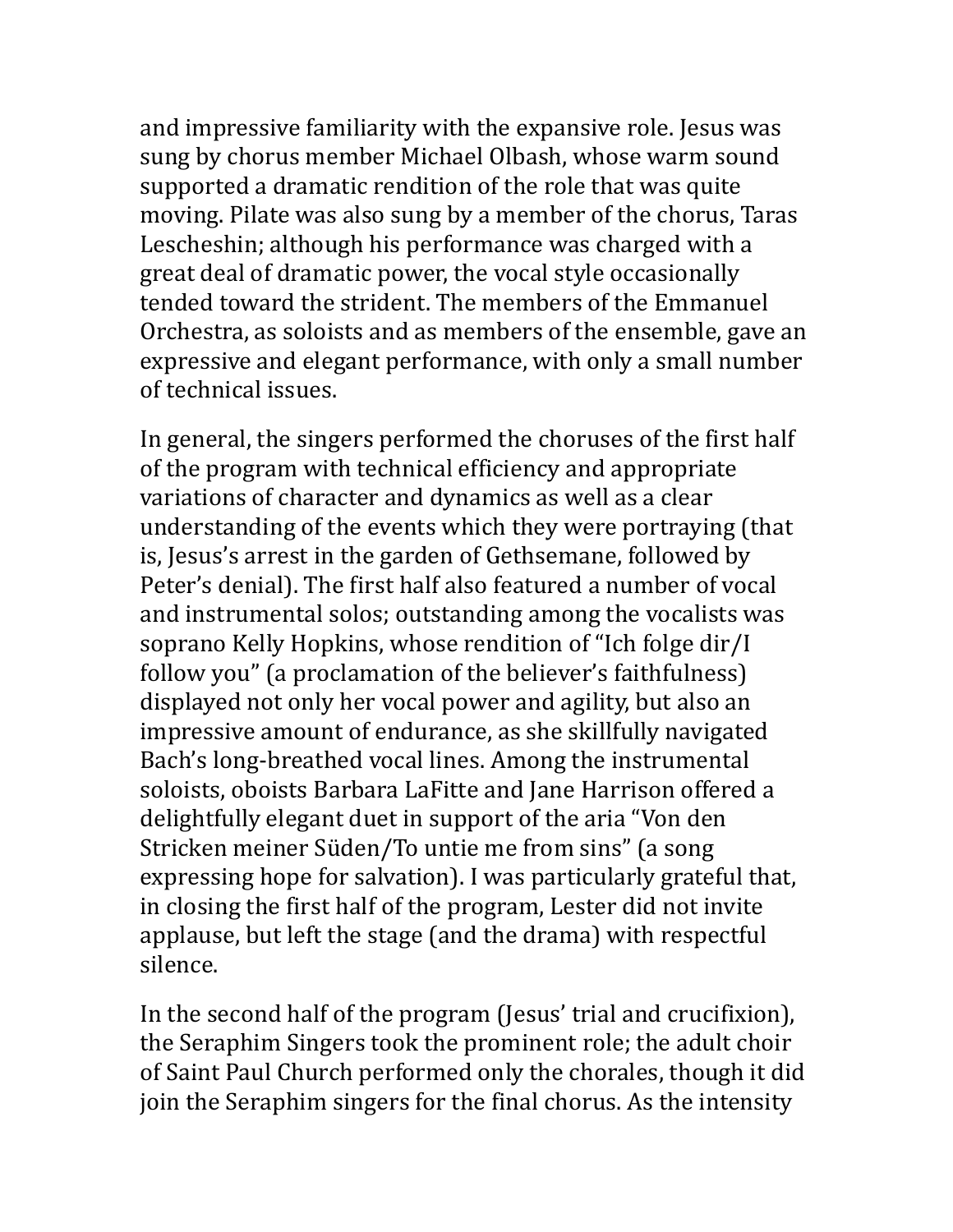and impressive familiarity with the expansive role. Jesus was sung by chorus member Michael Olbash, whose warm sound supported a dramatic rendition of the role that was quite moving. Pilate was also sung by a member of the chorus, Taras Lescheshin; although his performance was charged with a great deal of dramatic power, the vocal style occasionally tended toward the strident. The members of the Emmanuel Orchestra, as soloists and as members of the ensemble, gave an expressive and elegant performance, with only a small number of technical issues.

In general, the singers performed the choruses of the first half of the program with technical efficiency and appropriate variations of character and dynamics as well as a clear understanding of the events which they were portraying (that is, Jesus's arrest in the garden of Gethsemane, followed by Peter's denial). The first half also featured a number of vocal and instrumental solos; outstanding among the vocalists was soprano Kelly Hopkins, whose rendition of "Ich folge dir/I follow you" (a proclamation of the believer's faithfulness) displayed not only her vocal power and agility, but also an impressive amount of endurance, as she skillfully navigated Bach's long-breathed vocal lines. Among the instrumental soloists, oboists Barbara LaFitte and Jane Harrison offered a delightfully elegant duet in support of the aria "Von den Stricken meiner Süden/To untie me from sins" (a song expressing hope for salvation). I was particularly grateful that, in closing the first half of the program, Lester did not invite applause, but left the stage (and the drama) with respectful silence.

In the second half of the program (Jesus' trial and crucifixion), the Seraphim Singers took the prominent role; the adult choir of Saint Paul Church performed only the chorales, though it did join the Seraphim singers for the final chorus. As the intensity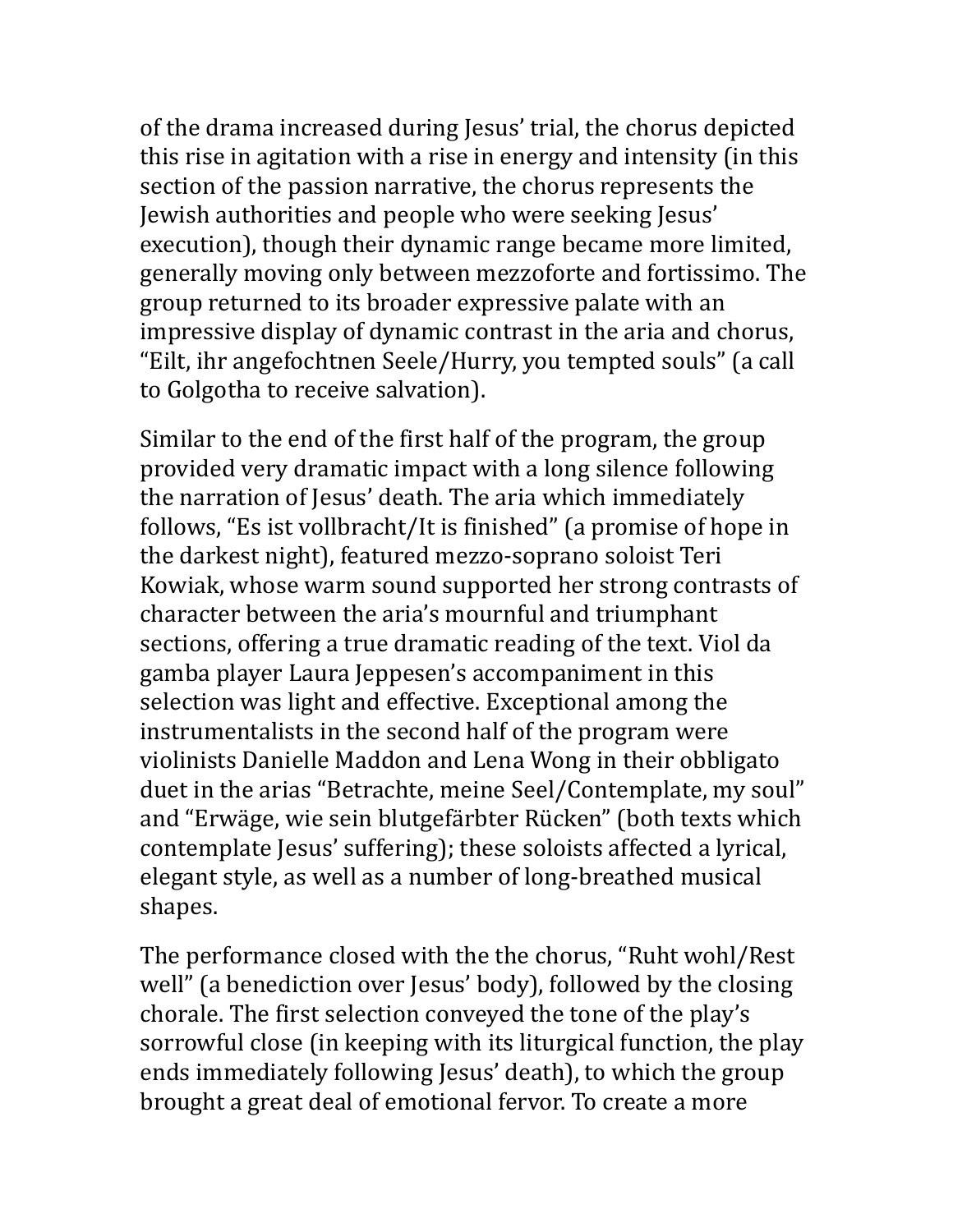of the drama increased during Jesus' trial, the chorus depicted this rise in agitation with a rise in energy and intensity (in this section of the passion narrative, the chorus represents the Jewish authorities and people who were seeking Jesus' execution), though their dynamic range became more limited, generally moving only between mezzoforte and fortissimo. The group returned to its broader expressive palate with an impressive display of dynamic contrast in the aria and chorus, "Eilt, ihr angefochtnen Seele/Hurry, you tempted souls" (a call to Golgotha to receive salvation).

Similar to the end of the first half of the program, the group provided very dramatic impact with a long silence following the narration of Jesus' death. The aria which immediately follows, "Es ist vollbracht/It is finished" (a promise of hope in the darkest night), featured mezzo-soprano soloist Teri Kowiak, whose warm sound supported her strong contrasts of character between the aria's mournful and triumphant sections, offering a true dramatic reading of the text. Viol da gamba player Laura Jeppesen's accompaniment in this selection was light and effective. Exceptional among the instrumentalists in the second half of the program were violinists Danielle Maddon and Lena Wong in their obbligato duet in the arias "Betrachte, meine Seel/Contemplate, my soul" and "Erwäge, wie sein blutgefärbter Rücken" (both texts which contemplate Jesus' suffering); these soloists affected a lyrical, elegant style, as well as a number of long-breathed musical shapes.

The performance closed with the the chorus, "Ruht wohl/Rest well" (a benediction over Jesus' body), followed by the closing chorale. The first selection conveyed the tone of the play's sorrowful close (in keeping with its liturgical function, the play ends immediately following Jesus' death), to which the group brought a great deal of emotional fervor. To create a more